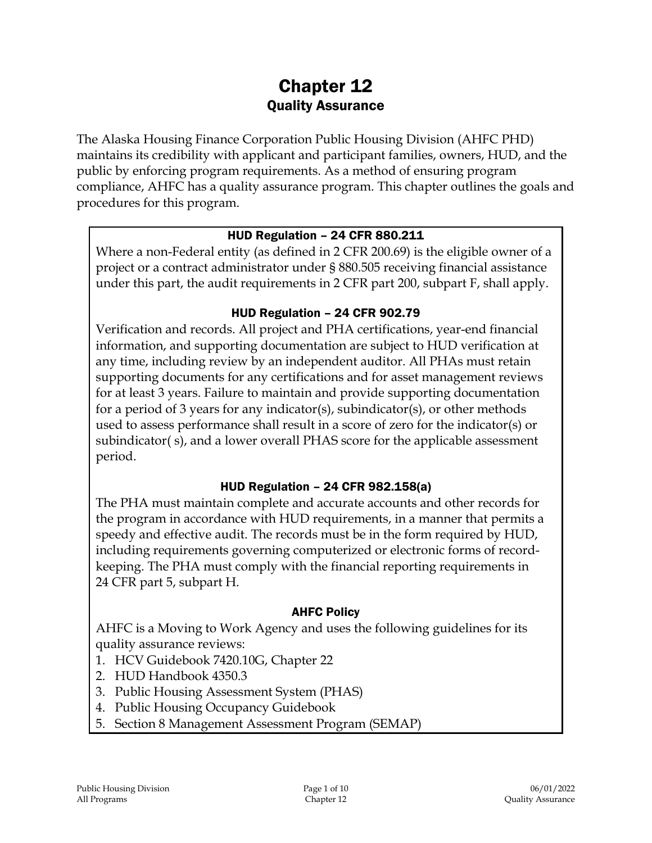# Chapter 12 Quality Assurance

The Alaska Housing Finance Corporation Public Housing Division (AHFC PHD) maintains its credibility with applicant and participant families, owners, HUD, and the public by enforcing program requirements. As a method of ensuring program compliance, AHFC has a quality assurance program. This chapter outlines the goals and procedures for this program.

### HUD Regulation – 24 CFR 880.211

Where a non-Federal entity (as defined in 2 CFR 200.69) is the eligible owner of a project or a contract administrator under § 880.505 receiving financial assistance under this part, the audit requirements in 2 CFR part 200, subpart F, shall apply.

### HUD Regulation – 24 CFR 902.79

Verification and records. All project and PHA certifications, year-end financial information, and supporting documentation are subject to HUD verification at any time, including review by an independent auditor. All PHAs must retain supporting documents for any certifications and for asset management reviews for at least 3 years. Failure to maintain and provide supporting documentation for a period of 3 years for any indicator(s), subindicator(s), or other methods used to assess performance shall result in a score of zero for the indicator(s) or subindicator( s), and a lower overall PHAS score for the applicable assessment period.

### HUD Regulation – 24 CFR 982.158(a)

The PHA must maintain complete and accurate accounts and other records for the program in accordance with HUD requirements, in a manner that permits a speedy and effective audit. The records must be in the form required by HUD, including requirements governing computerized or electronic forms of recordkeeping. The PHA must comply with the financial reporting requirements in 24 CFR part 5, subpart H.

#### AHFC Policy

AHFC is a Moving to Work Agency and uses the following guidelines for its quality assurance reviews:

- 1. HCV Guidebook 7420.10G, Chapter 22
- 2. HUD Handbook 4350.3
- 3. Public Housing Assessment System (PHAS)
- 4. Public Housing Occupancy Guidebook
- 5. Section 8 Management Assessment Program (SEMAP)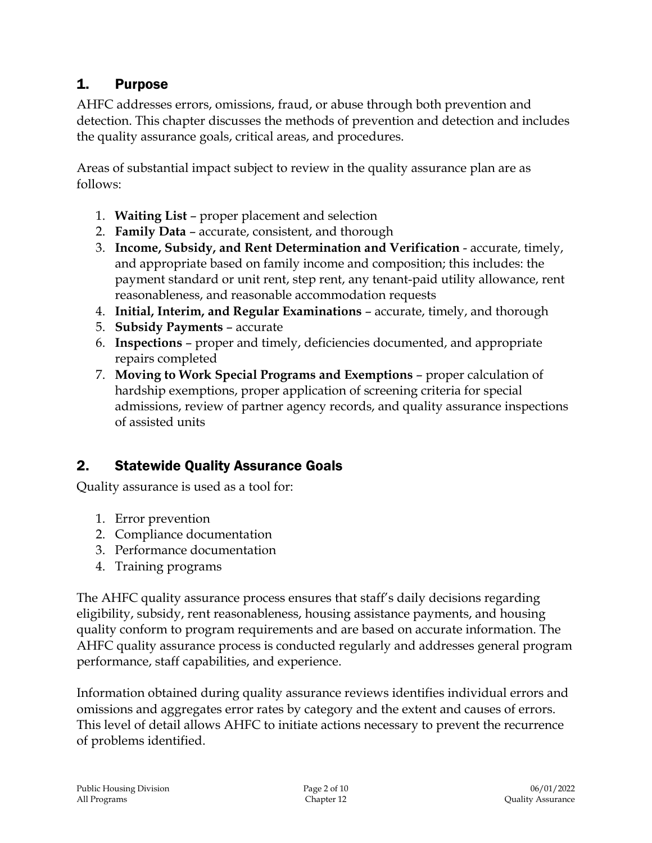# 1. Purpose

AHFC addresses errors, omissions, fraud, or abuse through both prevention and detection. This chapter discusses the methods of prevention and detection and includes the quality assurance goals, critical areas, and procedures.

Areas of substantial impact subject to review in the quality assurance plan are as follows:

- 1. **Waiting List** proper placement and selection
- 2. **Family Data** accurate, consistent, and thorough
- 3. **Income, Subsidy, and Rent Determination and Verification** accurate, timely, and appropriate based on family income and composition; this includes: the payment standard or unit rent, step rent, any tenant-paid utility allowance, rent reasonableness, and reasonable accommodation requests
- 4. **Initial, Interim, and Regular Examinations** accurate, timely, and thorough
- 5. **Subsidy Payments** accurate
- 6. **Inspections** proper and timely, deficiencies documented, and appropriate repairs completed
- 7. **Moving to Work Special Programs and Exemptions** proper calculation of hardship exemptions, proper application of screening criteria for special admissions, review of partner agency records, and quality assurance inspections of assisted units

# 2. Statewide Quality Assurance Goals

Quality assurance is used as a tool for:

- 1. Error prevention
- 2. Compliance documentation
- 3. Performance documentation
- 4. Training programs

The AHFC quality assurance process ensures that staff's daily decisions regarding eligibility, subsidy, rent reasonableness, housing assistance payments, and housing quality conform to program requirements and are based on accurate information. The AHFC quality assurance process is conducted regularly and addresses general program performance, staff capabilities, and experience.

Information obtained during quality assurance reviews identifies individual errors and omissions and aggregates error rates by category and the extent and causes of errors. This level of detail allows AHFC to initiate actions necessary to prevent the recurrence of problems identified.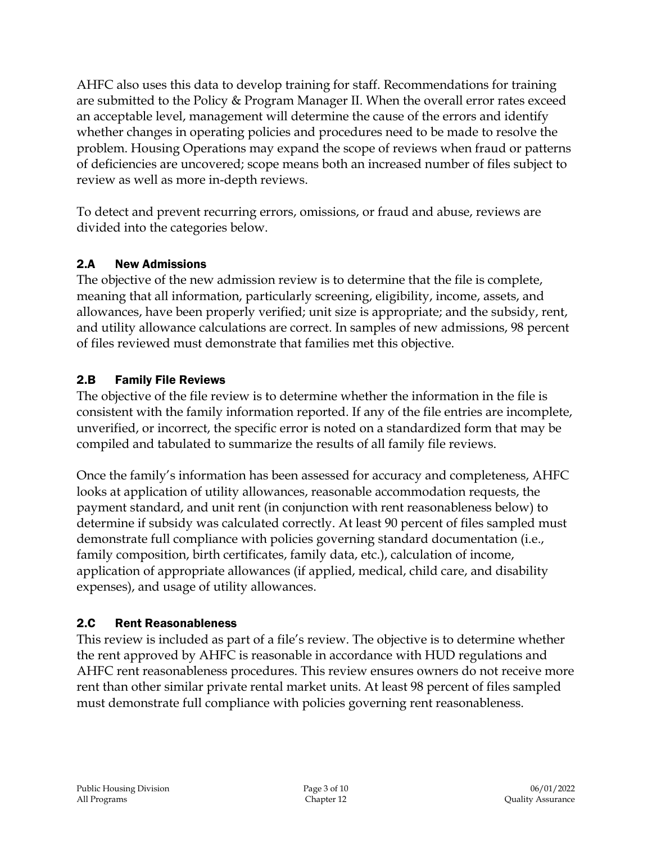AHFC also uses this data to develop training for staff. Recommendations for training are submitted to the Policy & Program Manager II. When the overall error rates exceed an acceptable level, management will determine the cause of the errors and identify whether changes in operating policies and procedures need to be made to resolve the problem. Housing Operations may expand the scope of reviews when fraud or patterns of deficiencies are uncovered; scope means both an increased number of files subject to review as well as more in-depth reviews.

To detect and prevent recurring errors, omissions, or fraud and abuse, reviews are divided into the categories below.

### 2.A New Admissions

The objective of the new admission review is to determine that the file is complete, meaning that all information, particularly screening, eligibility, income, assets, and allowances, have been properly verified; unit size is appropriate; and the subsidy, rent, and utility allowance calculations are correct. In samples of new admissions, 98 percent of files reviewed must demonstrate that families met this objective.

### 2.B Family File Reviews

The objective of the file review is to determine whether the information in the file is consistent with the family information reported. If any of the file entries are incomplete, unverified, or incorrect, the specific error is noted on a standardized form that may be compiled and tabulated to summarize the results of all family file reviews.

Once the family's information has been assessed for accuracy and completeness, AHFC looks at application of utility allowances, reasonable accommodation requests, the payment standard, and unit rent (in conjunction with rent reasonableness below) to determine if subsidy was calculated correctly. At least 90 percent of files sampled must demonstrate full compliance with policies governing standard documentation (i.e., family composition, birth certificates, family data, etc.), calculation of income, application of appropriate allowances (if applied, medical, child care, and disability expenses), and usage of utility allowances.

### 2.C Rent Reasonableness

This review is included as part of a file's review. The objective is to determine whether the rent approved by AHFC is reasonable in accordance with HUD regulations and AHFC rent reasonableness procedures. This review ensures owners do not receive more rent than other similar private rental market units. At least 98 percent of files sampled must demonstrate full compliance with policies governing rent reasonableness.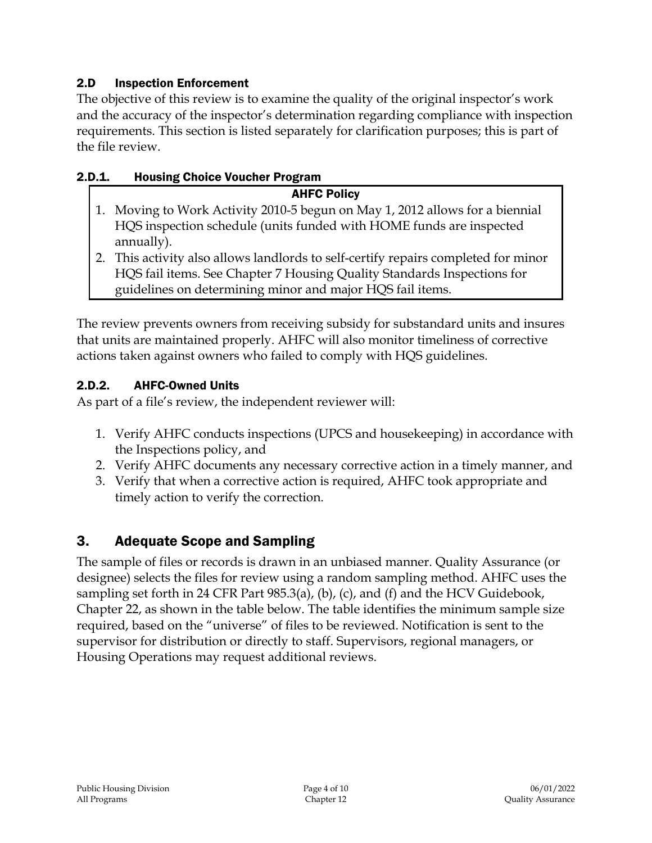### 2.D Inspection Enforcement

The objective of this review is to examine the quality of the original inspector's work and the accuracy of the inspector's determination regarding compliance with inspection requirements. This section is listed separately for clarification purposes; this is part of the file review.

### 2.D.1. Housing Choice Voucher Program

#### AHFC Policy

- 1. Moving to Work Activity 2010-5 begun on May 1, 2012 allows for a biennial HQS inspection schedule (units funded with HOME funds are inspected annually).
- 2. This activity also allows landlords to self-certify repairs completed for minor HQS fail items. See Chapter 7 Housing Quality Standards Inspections for guidelines on determining minor and major HQS fail items.

The review prevents owners from receiving subsidy for substandard units and insures that units are maintained properly. AHFC will also monitor timeliness of corrective actions taken against owners who failed to comply with HQS guidelines.

### 2.D.2. AHFC-Owned Units

As part of a file's review, the independent reviewer will:

- 1. Verify AHFC conducts inspections (UPCS and housekeeping) in accordance with the Inspections policy, and
- 2. Verify AHFC documents any necessary corrective action in a timely manner, and
- 3. Verify that when a corrective action is required, AHFC took appropriate and timely action to verify the correction.

# 3. Adequate Scope and Sampling

The sample of files or records is drawn in an unbiased manner. Quality Assurance (or designee) selects the files for review using a random sampling method. AHFC uses the sampling set forth in 24 CFR Part 985.3(a), (b), (c), and (f) and the HCV Guidebook, Chapter 22, as shown in the table below. The table identifies the minimum sample size required, based on the "universe" of files to be reviewed. Notification is sent to the supervisor for distribution or directly to staff. Supervisors, regional managers, or Housing Operations may request additional reviews.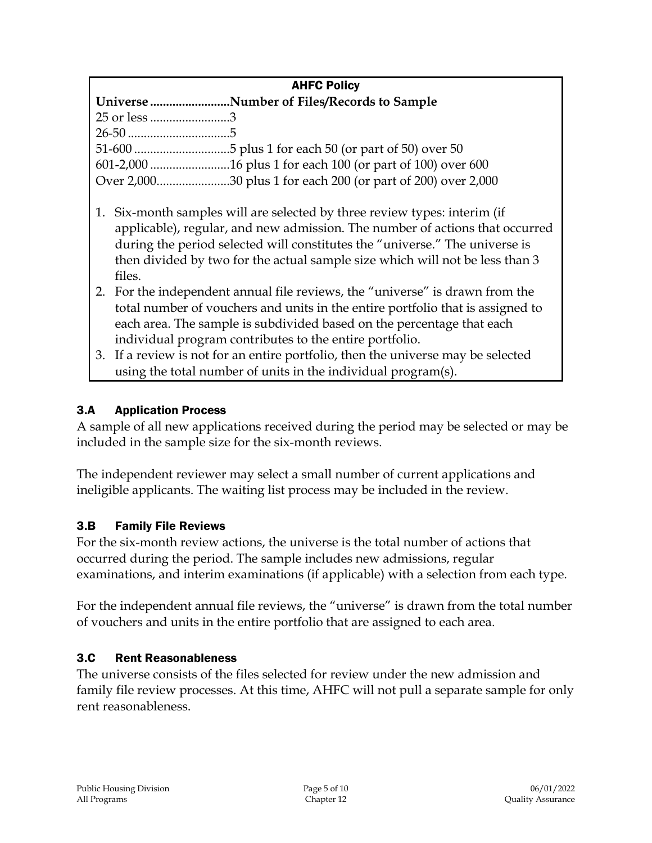### AHFC Policy

| Universe Number of Files/Records to Sample |
|--------------------------------------------|
| 25 or less 3                               |
|                                            |
|                                            |
|                                            |
|                                            |
|                                            |

- 1. Six-month samples will are selected by three review types: interim (if applicable), regular, and new admission. The number of actions that occurred during the period selected will constitutes the "universe." The universe is then divided by two for the actual sample size which will not be less than 3 files.
- 2. For the independent annual file reviews, the "universe" is drawn from the total number of vouchers and units in the entire portfolio that is assigned to each area. The sample is subdivided based on the percentage that each individual program contributes to the entire portfolio.
- 3. If a review is not for an entire portfolio, then the universe may be selected using the total number of units in the individual program(s).

### 3.A Application Process

A sample of all new applications received during the period may be selected or may be included in the sample size for the six-month reviews.

The independent reviewer may select a small number of current applications and ineligible applicants. The waiting list process may be included in the review.

### 3.B Family File Reviews

For the six-month review actions, the universe is the total number of actions that occurred during the period. The sample includes new admissions, regular examinations, and interim examinations (if applicable) with a selection from each type.

For the independent annual file reviews, the "universe" is drawn from the total number of vouchers and units in the entire portfolio that are assigned to each area.

### 3.C Rent Reasonableness

The universe consists of the files selected for review under the new admission and family file review processes. At this time, AHFC will not pull a separate sample for only rent reasonableness.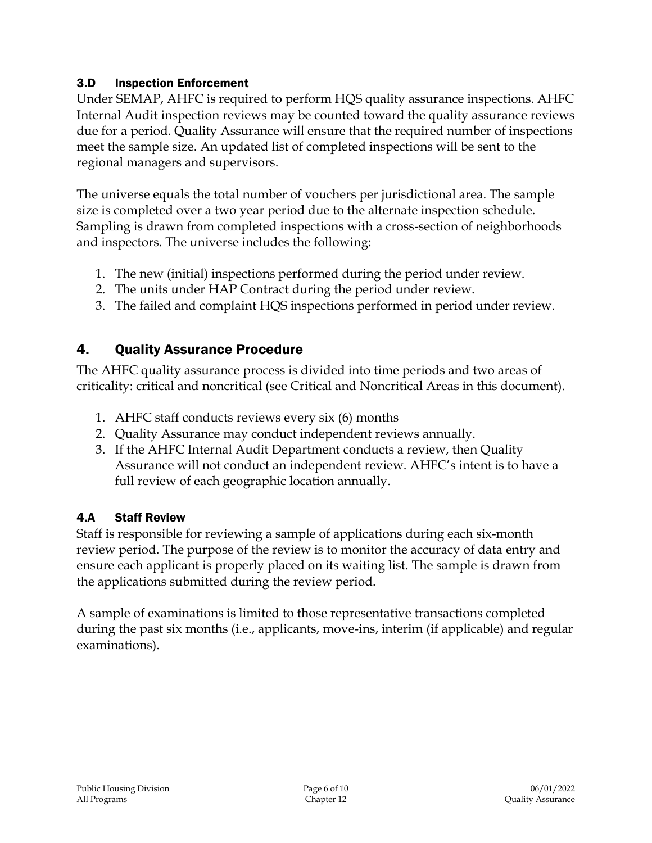### 3.D Inspection Enforcement

Under SEMAP, AHFC is required to perform HQS quality assurance inspections. AHFC Internal Audit inspection reviews may be counted toward the quality assurance reviews due for a period. Quality Assurance will ensure that the required number of inspections meet the sample size. An updated list of completed inspections will be sent to the regional managers and supervisors.

The universe equals the total number of vouchers per jurisdictional area. The sample size is completed over a two year period due to the alternate inspection schedule. Sampling is drawn from completed inspections with a cross-section of neighborhoods and inspectors. The universe includes the following:

- 1. The new (initial) inspections performed during the period under review.
- 2. The units under HAP Contract during the period under review.
- 3. The failed and complaint HQS inspections performed in period under review.

# 4. Quality Assurance Procedure

The AHFC quality assurance process is divided into time periods and two areas of criticality: critical and noncritical (see Critical and Noncritical Areas in this document).

- 1. AHFC staff conducts reviews every six (6) months
- 2. Quality Assurance may conduct independent reviews annually.
- 3. If the AHFC Internal Audit Department conducts a review, then Quality Assurance will not conduct an independent review. AHFC's intent is to have a full review of each geographic location annually.

### 4.A Staff Review

Staff is responsible for reviewing a sample of applications during each six-month review period. The purpose of the review is to monitor the accuracy of data entry and ensure each applicant is properly placed on its waiting list. The sample is drawn from the applications submitted during the review period.

A sample of examinations is limited to those representative transactions completed during the past six months (i.e., applicants, move-ins, interim (if applicable) and regular examinations).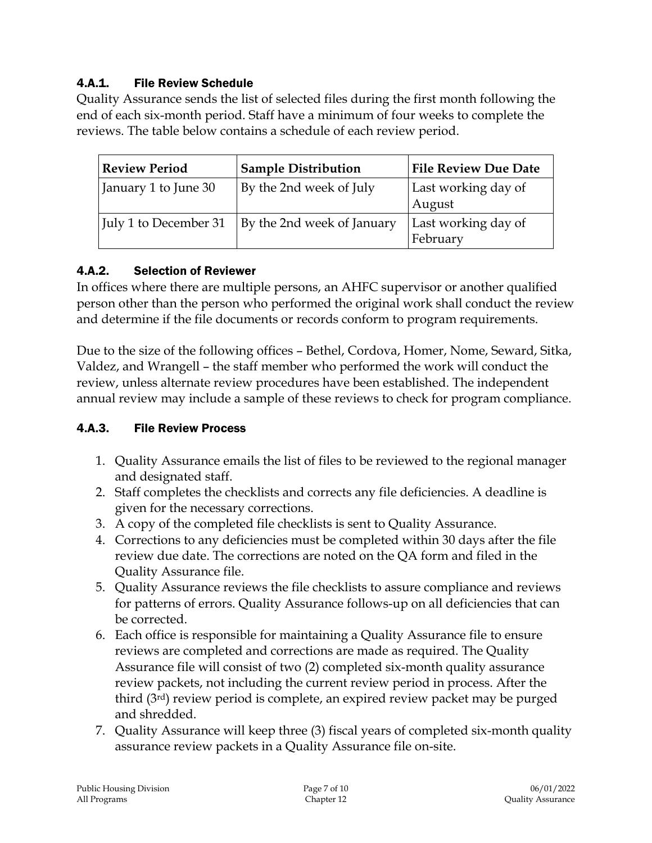### 4.A.1. File Review Schedule

Quality Assurance sends the list of selected files during the first month following the end of each six-month period. Staff have a minimum of four weeks to complete the reviews. The table below contains a schedule of each review period.

| <b>Review Period</b>  | <b>Sample Distribution</b> | <b>File Review Due Date</b>     |
|-----------------------|----------------------------|---------------------------------|
| January 1 to June 30  | By the 2nd week of July    | Last working day of<br>August   |
| July 1 to December 31 | By the 2nd week of January | Last working day of<br>February |

### 4.A.2. Selection of Reviewer

In offices where there are multiple persons, an AHFC supervisor or another qualified person other than the person who performed the original work shall conduct the review and determine if the file documents or records conform to program requirements.

Due to the size of the following offices – Bethel, Cordova, Homer, Nome, Seward, Sitka, Valdez, and Wrangell – the staff member who performed the work will conduct the review, unless alternate review procedures have been established. The independent annual review may include a sample of these reviews to check for program compliance.

### 4.A.3. File Review Process

- 1. Quality Assurance emails the list of files to be reviewed to the regional manager and designated staff.
- 2. Staff completes the checklists and corrects any file deficiencies. A deadline is given for the necessary corrections.
- 3. A copy of the completed file checklists is sent to Quality Assurance.
- 4. Corrections to any deficiencies must be completed within 30 days after the file review due date. The corrections are noted on the QA form and filed in the Quality Assurance file.
- 5. Quality Assurance reviews the file checklists to assure compliance and reviews for patterns of errors. Quality Assurance follows-up on all deficiencies that can be corrected.
- 6. Each office is responsible for maintaining a Quality Assurance file to ensure reviews are completed and corrections are made as required. The Quality Assurance file will consist of two (2) completed six-month quality assurance review packets, not including the current review period in process. After the third (3rd) review period is complete, an expired review packet may be purged and shredded.
- 7. Quality Assurance will keep three (3) fiscal years of completed six-month quality assurance review packets in a Quality Assurance file on-site.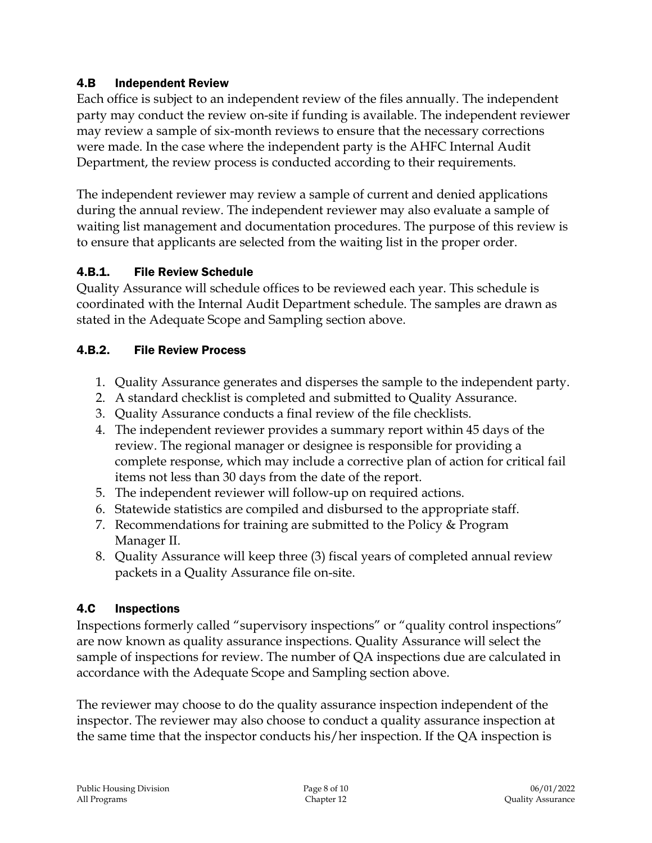### 4.B Independent Review

Each office is subject to an independent review of the files annually. The independent party may conduct the review on-site if funding is available. The independent reviewer may review a sample of six-month reviews to ensure that the necessary corrections were made. In the case where the independent party is the AHFC Internal Audit Department, the review process is conducted according to their requirements.

The independent reviewer may review a sample of current and denied applications during the annual review. The independent reviewer may also evaluate a sample of waiting list management and documentation procedures. The purpose of this review is to ensure that applicants are selected from the waiting list in the proper order.

### 4.B.1. File Review Schedule

Quality Assurance will schedule offices to be reviewed each year. This schedule is coordinated with the Internal Audit Department schedule. The samples are drawn as stated in the Adequate Scope and Sampling section above.

#### 4.B.2. File Review Process

- 1. Quality Assurance generates and disperses the sample to the independent party.
- 2. A standard checklist is completed and submitted to Quality Assurance.
- 3. Quality Assurance conducts a final review of the file checklists.
- 4. The independent reviewer provides a summary report within 45 days of the review. The regional manager or designee is responsible for providing a complete response, which may include a corrective plan of action for critical fail items not less than 30 days from the date of the report.
- 5. The independent reviewer will follow-up on required actions.
- 6. Statewide statistics are compiled and disbursed to the appropriate staff.
- 7. Recommendations for training are submitted to the Policy & Program Manager II.
- 8. Quality Assurance will keep three (3) fiscal years of completed annual review packets in a Quality Assurance file on-site.

### 4.C Inspections

Inspections formerly called "supervisory inspections" or "quality control inspections" are now known as quality assurance inspections. Quality Assurance will select the sample of inspections for review. The number of QA inspections due are calculated in accordance with the Adequate Scope and Sampling section above.

The reviewer may choose to do the quality assurance inspection independent of the inspector. The reviewer may also choose to conduct a quality assurance inspection at the same time that the inspector conducts his/her inspection. If the QA inspection is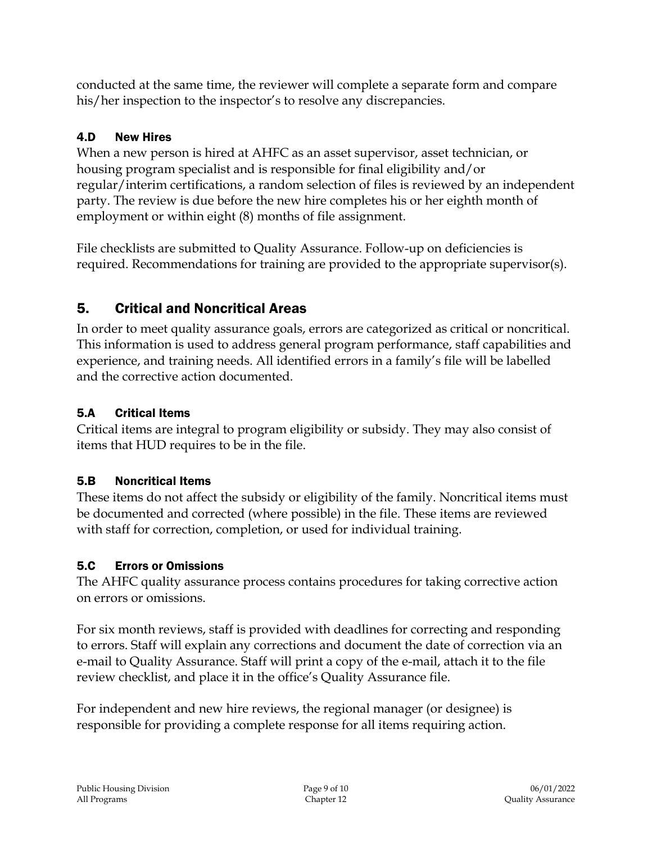conducted at the same time, the reviewer will complete a separate form and compare his/her inspection to the inspector's to resolve any discrepancies.

### 4.D New Hires

When a new person is hired at AHFC as an asset supervisor, asset technician, or housing program specialist and is responsible for final eligibility and/or regular/interim certifications, a random selection of files is reviewed by an independent party. The review is due before the new hire completes his or her eighth month of employment or within eight (8) months of file assignment.

File checklists are submitted to Quality Assurance. Follow-up on deficiencies is required. Recommendations for training are provided to the appropriate supervisor(s).

# 5. Critical and Noncritical Areas

In order to meet quality assurance goals, errors are categorized as critical or noncritical. This information is used to address general program performance, staff capabilities and experience, and training needs. All identified errors in a family's file will be labelled and the corrective action documented.

### 5.A Critical Items

Critical items are integral to program eligibility or subsidy. They may also consist of items that HUD requires to be in the file.

# 5.B Noncritical Items

These items do not affect the subsidy or eligibility of the family. Noncritical items must be documented and corrected (where possible) in the file. These items are reviewed with staff for correction, completion, or used for individual training.

# 5.C Errors or Omissions

The AHFC quality assurance process contains procedures for taking corrective action on errors or omissions.

For six month reviews, staff is provided with deadlines for correcting and responding to errors. Staff will explain any corrections and document the date of correction via an e-mail to Quality Assurance. Staff will print a copy of the e-mail, attach it to the file review checklist, and place it in the office's Quality Assurance file.

For independent and new hire reviews, the regional manager (or designee) is responsible for providing a complete response for all items requiring action.